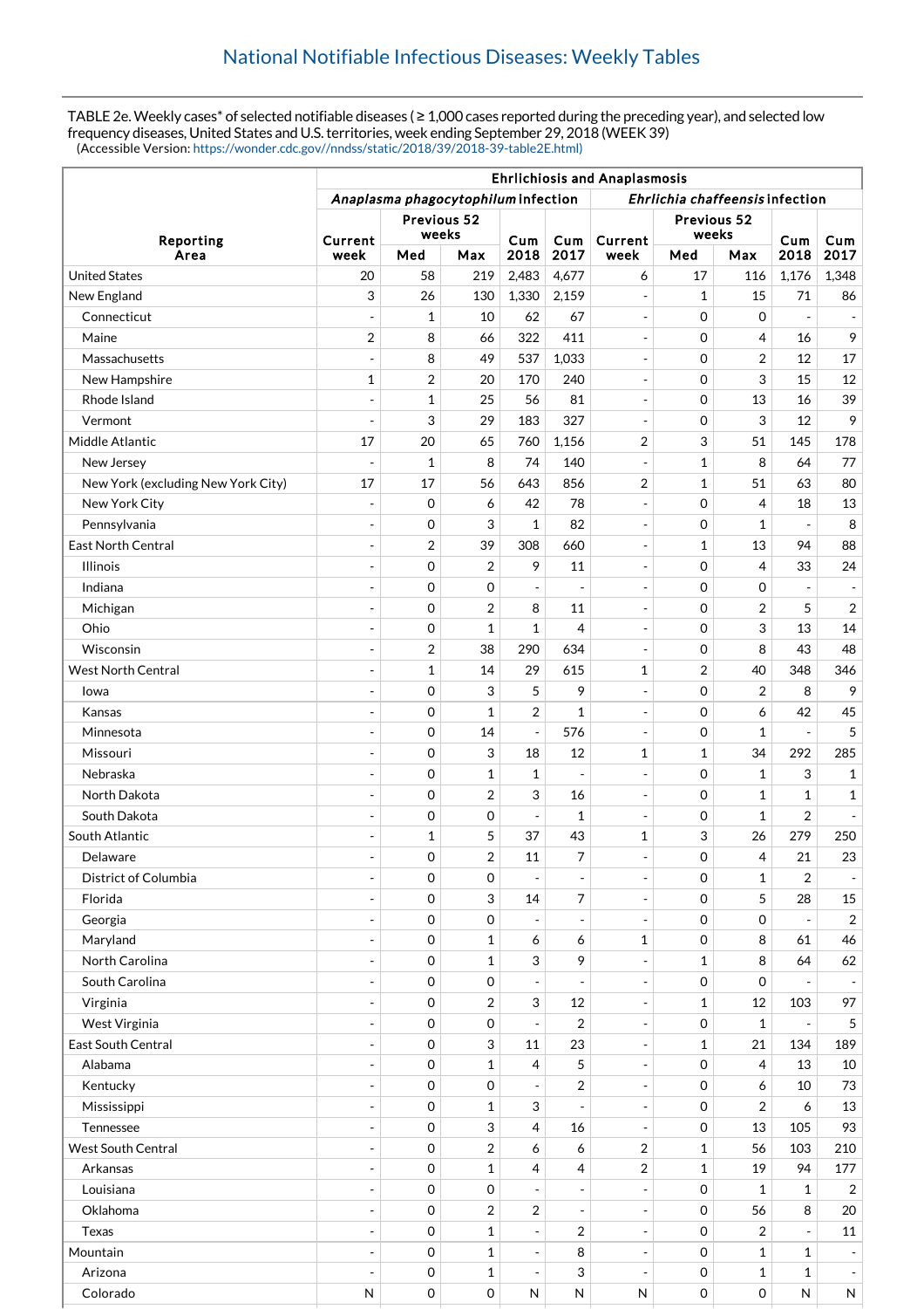TABLE 2e. Weekly cases\* of selected notifiable diseases ( ≥ 1,000 cases reported during the preceding year), and selected low frequency diseases, United States and U.S. territories, week ending September 29, 2018 (WEEK 39) (Accessible Version: [https://wonder.cdc.gov//nndss/static/2018/39/2018-39-table2E.html\)](https://wonder.cdc.gov//nndss/static/2018/39/2018-39-table2E.html)

|                                    | <b>Ehrlichiosis and Anaplasmosis</b>                                   |                  |                     |                          |                          |                          |                     |                    |                          |                          |
|------------------------------------|------------------------------------------------------------------------|------------------|---------------------|--------------------------|--------------------------|--------------------------|---------------------|--------------------|--------------------------|--------------------------|
|                                    | Anaplasma phagocytophilum infection<br>Ehrlichia chaffeensis infection |                  |                     |                          |                          |                          |                     |                    |                          |                          |
| Reporting                          | Previous 52                                                            |                  |                     |                          |                          | Previous 52              |                     |                    |                          |                          |
|                                    | Current                                                                | weeks            |                     | Cum                      | Cum                      | Current                  | weeks               |                    | Cum                      | Cum                      |
| Area                               | week                                                                   | Med              | Max                 | 2018                     | 2017                     | week                     | Med                 | Max                | 2018                     | 2017                     |
| <b>United States</b>               | 20                                                                     | 58               | 219                 | 2,483                    | 4,677                    | 6                        | 17                  | 116                | 1,176                    | 1,348                    |
| New England                        | 3                                                                      | 26               | 130                 | 1,330                    | 2,159                    | $\overline{\phantom{a}}$ | 1                   | 15                 | 71                       | 86                       |
| Connecticut                        | ÷,                                                                     | 1                | 10                  | 62                       | 67                       | $\overline{\phantom{a}}$ | $\mathbf 0$         | $\mathbf 0$        |                          | $\overline{\phantom{a}}$ |
| Maine                              | $\overline{2}$                                                         | 8                | 66                  | 322                      | 411                      | $\overline{\phantom{a}}$ | $\mathbf 0$         | 4                  | 16                       | 9                        |
| Massachusetts                      | $\overline{a}$                                                         | 8                | 49                  | 537                      | 1,033                    | $\overline{\phantom{a}}$ | 0                   | 2                  | 12                       | 17                       |
| New Hampshire                      | $\mathbf{1}$                                                           | 2                | 20                  | 170                      | 240                      | $\overline{\phantom{a}}$ | $\mathbf 0$         | 3                  | 15                       | 12                       |
| Rhode Island                       | $\overline{a}$                                                         | $\mathbf 1$      | 25                  | 56                       | 81                       | $\overline{\phantom{a}}$ | $\mathbf 0$         | 13                 | 16                       | 39                       |
| Vermont                            | ÷,                                                                     | 3                | 29                  | 183                      | 327                      | $\overline{\phantom{a}}$ | $\mathbf 0$         | 3                  | 12                       | 9                        |
| Middle Atlantic                    | 17                                                                     | 20               | 65                  | 760                      | 1,156                    | 2                        | 3                   | 51                 | 145                      | 178                      |
| New Jersey                         |                                                                        | 1                | 8                   | 74                       | 140                      | $\overline{\phantom{a}}$ | 1                   | 8                  | 64                       | 77                       |
| New York (excluding New York City) | 17                                                                     | 17               | 56                  | 643                      | 856                      | 2                        | 1                   | 51                 | 63                       | 80                       |
| New York City                      | $\overline{a}$                                                         | 0                | 6                   | 42                       | 78                       | $\overline{\phantom{a}}$ | $\mathbf 0$         | $\overline{4}$     | 18                       | 13                       |
| Pennsylvania                       | ÷,                                                                     | 0                | 3                   | $\mathbf{1}$             | 82                       | $\overline{\phantom{a}}$ | $\mathbf 0$         | 1                  | $\overline{a}$           | 8                        |
| <b>East North Central</b>          | $\overline{\phantom{a}}$                                               | 2                | 39                  | 308                      | 660                      | $\overline{\phantom{a}}$ | 1                   | 13                 | 94                       | 88                       |
| <b>Illinois</b>                    |                                                                        | 0                | $\overline{2}$      | 9                        | 11                       | $\blacksquare$           | $\mathbf 0$         | $\overline{4}$     | 33                       | 24                       |
| Indiana                            |                                                                        | 0                | 0                   | $\frac{1}{2}$            |                          | $\overline{\phantom{a}}$ | $\mathbf 0$         | $\mathbf 0$        |                          | $\overline{\phantom{a}}$ |
| Michigan                           | ÷                                                                      | 0                | 2                   | 8                        | 11                       | $\overline{\phantom{a}}$ | $\mathbf 0$         | $\overline{2}$     | 5                        | $\overline{2}$           |
| Ohio                               |                                                                        | 0                | 1                   | $\mathbf{1}$             | 4                        | $\overline{\phantom{a}}$ | 0                   | 3                  | 13                       | 14                       |
| Wisconsin                          | $\blacksquare$                                                         | 2                | 38                  | 290                      | 634                      | $\blacksquare$           | $\mathbf 0$         | 8                  | 43                       | 48                       |
| <b>West North Central</b>          | ÷,                                                                     | $\mathbf 1$      | 14                  | 29                       | 615                      | $\mathbf 1$              | 2                   | 40                 | 348                      | 346                      |
| lowa                               | ÷                                                                      | 0                | 3                   | 5                        | 9                        | $\overline{\phantom{a}}$ | $\mathbf 0$         | 2                  | 8                        | 9                        |
| Kansas                             | ÷,                                                                     | 0                | 1                   | $\overline{2}$           | 1                        | $\overline{\phantom{a}}$ | $\mathbf 0$         | 6                  | 42                       | 45                       |
| Minnesota                          | $\blacksquare$                                                         | 0                | 14                  | $\overline{\phantom{a}}$ | 576                      | $\overline{\phantom{a}}$ | $\mathbf 0$         | $\mathbf{1}$       | $\overline{\phantom{a}}$ | 5                        |
| Missouri                           | $\overline{a}$                                                         | $\mathbf 0$      | 3                   | 18                       | 12                       | 1                        | 1                   | 34                 | 292                      | 285                      |
| Nebraska                           |                                                                        | 0                | 1                   | $\mathbf{1}$             | Ĭ.                       | $\overline{\phantom{a}}$ | $\mathbf 0$         | $\mathbf{1}$       | 3                        | $\mathbf{1}$             |
| North Dakota                       | ÷,                                                                     | 0                | $\overline{2}$      | 3                        | 16                       | $\sim$                   | $\mathbf 0$         | $\mathbf{1}$       | $\mathbf{1}$             | $\mathbf{1}$             |
| South Dakota                       |                                                                        | 0                | 0                   | $\overline{\phantom{a}}$ | 1                        | $\overline{\phantom{a}}$ | 0                   | $\mathbf{1}$       | $\overline{2}$           | $\overline{\phantom{a}}$ |
| South Atlantic                     | ÷                                                                      | 1                | 5                   | 37                       | 43                       | $\mathbf 1$              | 3                   | 26                 | 279                      | 250                      |
| Delaware                           |                                                                        | 0                | $\overline{2}$      | 11                       | 7                        | $\overline{a}$           | $\Omega$            | 4                  | 21                       | 23                       |
| District of Columbia               | ÷                                                                      | 0                | 0                   | $\overline{\phantom{a}}$ | $\qquad \qquad -$        | $\overline{\phantom{a}}$ | $\mathbf 0$         | $\mathbf{1}$       | 2                        | $\blacksquare$           |
| Florida                            | $\overline{\phantom{a}}$                                               | $\mathbf 0$      | 3                   | 14                       | 7                        | $\overline{\phantom{a}}$ | 0                   | 5                  | 28                       | 15                       |
| Georgia                            | $\overline{\phantom{a}}$                                               | 0                | 0                   | $\overline{\phantom{a}}$ | $\overline{\phantom{a}}$ | $\overline{\phantom{a}}$ | 0                   | $\mathbf 0$        |                          | $\overline{2}$           |
| Maryland                           | $\overline{a}$                                                         | 0                | $\mathbf 1$         | 6                        | 6                        | $\mathbf 1$              | 0                   | 8                  | 61                       | 46                       |
| North Carolina                     | $\blacksquare$                                                         | 0                | $\mathbf{1}$        | 3                        | 9                        | $\overline{\phantom{a}}$ | $\mathbf{1}$        | 8                  | 64                       | 62                       |
| South Carolina                     | ÷,                                                                     | 0                | 0                   | $\overline{\phantom{a}}$ | $\overline{a}$           | ÷,                       | 0                   | 0                  |                          | $\blacksquare$           |
| Virginia                           | $\blacksquare$                                                         | 0                | $\overline{c}$      | 3                        | 12                       | $\overline{\phantom{a}}$ | $\mathbf{1}$        | 12                 | 103                      | 97                       |
| West Virginia                      |                                                                        | $\mathbf 0$      | 0                   | $\blacksquare$           | $\overline{2}$           | $\overline{\phantom{a}}$ | 0                   | $\mathbf{1}$       |                          | 5                        |
| East South Central                 | $\overline{a}$                                                         | 0                | 3                   | 11                       | 23                       | $\overline{\phantom{a}}$ | $\mathbf 1$         | 21                 | 134                      | 189                      |
| Alabama                            | ÷                                                                      | 0                | $\mathbf{1}$        | 4                        | 5                        | $\overline{\phantom{a}}$ | 0                   | 4                  | 13                       | 10                       |
| Kentucky                           | $\overline{\phantom{a}}$                                               | 0                | 0                   | $\overline{\phantom{a}}$ | 2                        | $\overline{\phantom{a}}$ | 0                   | 6                  | 10                       | 73                       |
| Mississippi                        | $\overline{a}$                                                         | 0                | $\mathbf 1$         | 3                        |                          | $\overline{\phantom{a}}$ | 0                   | $\overline{2}$     | 6                        | 13                       |
| Tennessee                          | $\overline{a}$                                                         | 0                | 3                   | 4                        | 16                       | $\overline{\phantom{a}}$ | 0                   | 13                 | 105                      | 93                       |
| <b>West South Central</b>          | $\overline{\phantom{a}}$                                               | 0                | $\sqrt{2}$          | 6                        | 6                        | 2                        | $\mathbf 1$         | 56                 | 103                      | 210                      |
| Arkansas                           | $\overline{\phantom{a}}$                                               |                  | 1                   |                          |                          |                          |                     | 19                 | 94                       | 177                      |
|                                    |                                                                        | 0                |                     | 4                        | 4                        | 2                        | 1<br>$\mathbf 0$    |                    |                          |                          |
| Louisiana                          | $\overline{\phantom{a}}$<br>÷,                                         | 0                | 0                   | $\overline{\phantom{a}}$ | ÷                        | $\overline{\phantom{a}}$ |                     | $\mathbf{1}$<br>56 | 1                        | $\overline{2}$           |
| Oklahoma                           |                                                                        | $\mathbf 0$      | $\overline{2}$      | $\overline{2}$           | $\overline{a}$           | $\overline{\phantom{a}}$ | $\mathbf 0$         |                    | 8                        | 20                       |
| Texas                              | $\overline{\phantom{a}}$                                               | 0                | $\mathbf 1$         | $\blacksquare$           | 2                        | $\overline{\phantom{a}}$ | $\mathbf 0$         | 2                  | $\overline{\phantom{a}}$ | 11                       |
| Mountain                           | ÷,                                                                     | $\mathbf 0$      | $\mathbf 1$         | $\overline{\phantom{a}}$ | 8                        | $\overline{\phantom{a}}$ | 0                   | $\mathbf{1}$       | 1                        | $\overline{\phantom{a}}$ |
| Arizona                            |                                                                        | 0                | $\mathbf 1$         | $\overline{\phantom{a}}$ | 3                        | $\overline{\phantom{a}}$ | 0                   | $\mathbf{1}$       | $\mathbf{1}$             | $\overline{\phantom{a}}$ |
| Colorado                           | $\mathsf{N}$                                                           | $\boldsymbol{0}$ | $\mathsf{O}\xspace$ | ${\sf N}$                | ${\sf N}$                | ${\sf N}$                | $\mathsf{O}\xspace$ | 0                  | N                        | N                        |